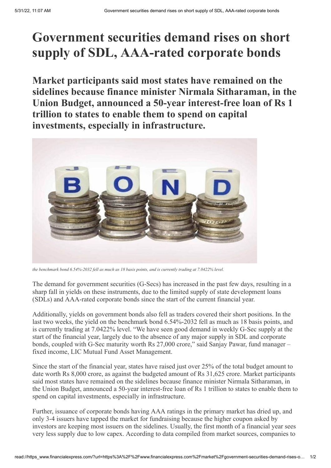## **Government securities demand rises on short supply of SDL, AAA-rated corporate bonds**

**Market participants said most states have remained on the sidelines because finance minister Nirmala Sitharaman, in the Union Budget, announced a 50-year interest-free loan of Rs 1 trillion to states to enable them to spend on capital investments, especially in infrastructure.**



the benchmark bond 6.54%-2032 fell as much as 18 basis points, and is currently trading at 7.0422% level.

The demand for government securities (G-Secs) has increased in the past few days, resulting in a sharp fall in yields on these instruments, due to the limited supply of state development loans (SDLs) and AAA-rated corporate bonds since the start of the current financial year.

Additionally, yields on government bonds also fell as traders covered their short positions. In the last two weeks, the yield on the benchmark bond 6.54%-2032 fell as much as 18 basis points, and is currently trading at 7.0422% level. "We have seen good demand in weekly G-Sec supply at the start of the financial year, largely due to the absence of any major supply in SDL and corporate bonds, coupled with G-Sec maturity worth Rs 27,000 crore," said Sanjay Pawar, fund manager – fixed income, LIC Mutual Fund Asset Management.

Since the start of the financial year, states have raised just over 25% of the total budget amount to date worth Rs 8,000 crore, as against the budgeted amount of Rs 31,625 crore. Market participants said most states have remained on the sidelines because finance minister Nirmala Sitharaman, in the Union Budget, announced a 50-year interest-free loan of Rs 1 trillion to states to enable them to spend on capital investments, especially in infrastructure.

Further, issuance of corporate bonds having AAA ratings in the primary market has dried up, and only 3-4 issuers have tapped the market for fundraising because the higher coupon asked by investors are keeping most issuers on the sidelines. Usually, the first month of a financial year sees very less supply due to low capex. According to data compiled from market sources, companies to